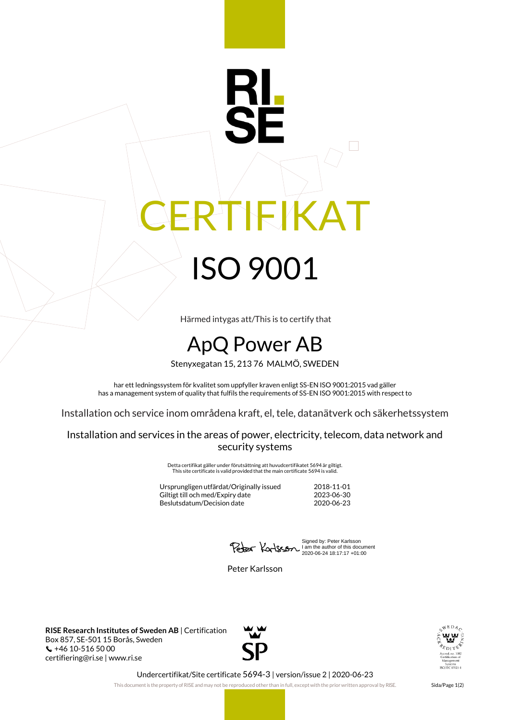## IEIKAT ISO 9001

Härmed intygas att/This is to certify that

## ApQ Power AB

Stenyxegatan 15, 213 76 MALMÖ, SWEDEN

har ett ledningssystem för kvalitet som uppfyller kraven enligt SS-EN ISO 9001:2015 vad gäller has a management system of quality that fulfils the requirements of SS-EN ISO 9001:2015 with respect to

Installation och service inom områdena kraft, el, tele, datanätverk och säkerhetssystem

Installation and services in the areas of power, electricity, telecom, data network and security systems

> Detta certifikat gäller under förutsättning att huvudcertifikatet 5694 är giltigt. This site certificate is valid provided that the main certificate 5694 is valid.

| Jrsprungligen utfärdat/Originally issued | 2018-11-01 |
|------------------------------------------|------------|
| Giltigt till och med/Expiry date         | 2023-06-30 |
| Beslutsdatum/Decision date               | 2020-06-23 |

Signed by: Peter Karlsson I am the author of this document 2020-06-24 18:17:17 +01:00

Peter Karlsson

**RISE Research Institutes of Sweden AB** | Certification Box 857, SE-501 15 Borås, Sweden  $\binom{1}{2}$  +46 10-516 50 00 certifiering@ri.se | www.ri.se





Undercertifikat/Site certificate 5694-3 | version/issue 2 | 2020-06-23

This document is the property of RISE and may not be reproduced other than in full, except with the prior written approval by RISE. Sida/Page 1(2)